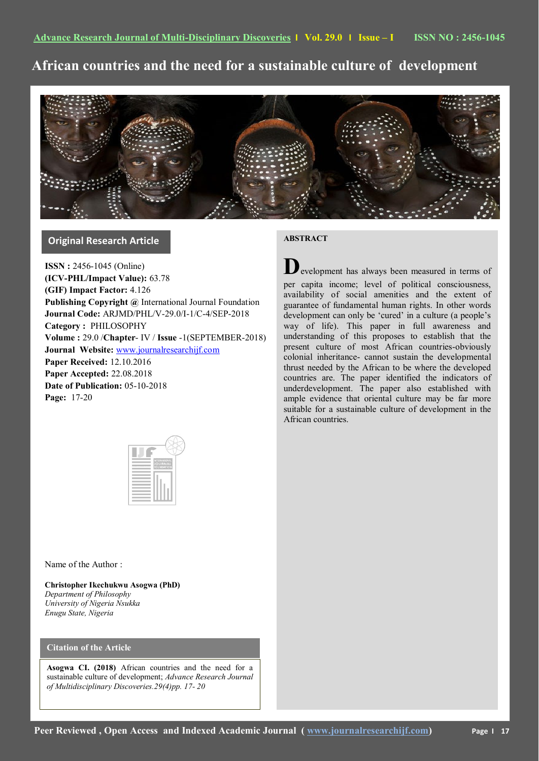**African countries and the need for a sustainable culture of development**



# **Original Research Article**

**ISSN :** 2456-1045 (Online) **(ICV-PHL/Impact Value):** 63.78 **(GIF) Impact Factor:** 4.126 **Publishing Copyright @** International Journal Foundation **Journal Code:** ARJMD/PHL/V-29.0/I-1/C-4/SEP-2018 **Category :** PHILOSOPHY **Volume :** 29.0 /**Chapter**- IV / **Issue** -1(SEPTEMBER-2018) **Journal Website:** [www.journalresearchijf.com](http://www.journalresearchijf.com/) **Paper Received:** 12.10.2016 **Paper Accepted:** 22.08.2018 **Date of Publication:** 05-10-2018 **Page:** 17-20

## **ABSTRACT**

**D**evelopment has always been measured in terms of per capita income; level of political consciousness, availability of social amenities and the extent of guarantee of fundamental human rights. In other words development can only be 'cured' in a culture (a people's way of life). This paper in full awareness and understanding of this proposes to establish that the present culture of most African countries-obviously colonial inheritance- cannot sustain the developmental thrust needed by the African to be where the developed countries are. The paper identified the indicators of underdevelopment. The paper also established with ample evidence that oriental culture may be far more suitable for a sustainable culture of development in the African countries.

|  | INTERNATIONAL<br>JOURNAL<br>FOUNDATION |  |
|--|----------------------------------------|--|
|  |                                        |  |
|  |                                        |  |
|  |                                        |  |
|  |                                        |  |
|  |                                        |  |
|  |                                        |  |

Name of the Author :

**Christopher Ikechukwu Asogwa (PhD)** *Department of Philosophy University of Nigeria Nsukka Enugu State, Nigeria*

## **Citation of the Article**

**Asogwa CI. (2018)** African countries and the need for a sustainable culture of development; *Advance Research Journal of Multidisciplinary Discoveries.29(4)pp. 17- 20*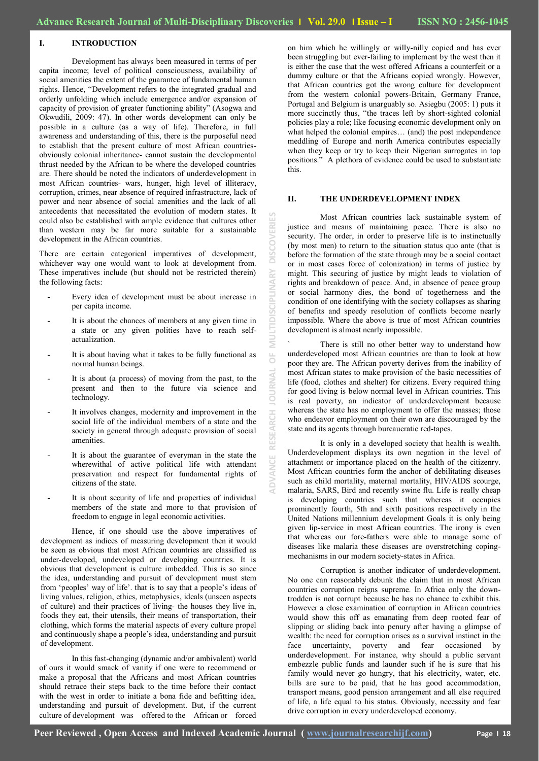### **I. INTRODUCTION**

Development has always been measured in terms of per capita income; level of political consciousness, availability of social amenities the extent of the guarantee of fundamental human rights. Hence, "Development refers to the integrated gradual and orderly unfolding which include emergence and/or expansion of capacity of provision of greater functioning ability" (Asogwa and Okwudili, 2009: 47). In other words development can only be possible in a culture (as a way of life). Therefore, in full awareness and understanding of this, there is the purposeful need to establish that the present culture of most African countriesobviously colonial inheritance- cannot sustain the developmental thrust needed by the African to be where the developed countries are. There should be noted the indicators of underdevelopment in most African countries- wars, hunger, high level of illiteracy, corruption, crimes, near absence of required infrastructure, lack of power and near absence of social amenities and the lack of all antecedents that necessitated the evolution of modern states. It could also be established with ample evidence that cultures other than western may be far more suitable for a sustainable development in the African countries.

There are certain categorical imperatives of development, whichever way one would want to look at development from. These imperatives include (but should not be restricted therein) the following facts:

- Every idea of development must be about increase in per capita income.
- It is about the chances of members at any given time in a state or any given polities have to reach selfactualization.
- It is about having what it takes to be fully functional as normal human beings.
- It is about (a process) of moving from the past, to the present and then to the future via science and technology.
- It involves changes, modernity and improvement in the social life of the individual members of a state and the society in general through adequate provision of social amenities.
- It is about the guarantee of everyman in the state the wherewithal of active political life with attendant preservation and respect for fundamental rights of citizens of the state.
- It is about security of life and properties of individual members of the state and more to that provision of freedom to engage in legal economic activities.

Hence, if one should use the above imperatives of development as indices of measuring development then it would be seen as obvious that most African countries are classified as under-developed, undeveloped or developing countries. It is obvious that development is culture imbedded. This is so since the idea, understanding and pursuit of development must stem from 'peoples' way of life'. that is to say that a people's ideas of living values, religion, ethics, metaphysics, ideals (unseen aspects of culture) and their practices of living- the houses they live in, foods they eat, their utensils, their means of transportation, their clothing, which forms the material aspects of every culture propel and continuously shape a people"s idea, understanding and pursuit of development.

In this fast-changing (dynamic and/or ambivalent) world of ours it would smack of vanity if one were to recommend or make a proposal that the Africans and most African countries should retrace their steps back to the time before their contact with the west in order to initiate a bona fide and befitting idea, understanding and pursuit of development. But, if the current culture of development was offered to the African or forced

on him which he willingly or willy-nilly copied and has ever been struggling but ever-failing to implement by the west then it is either the case that the west offered Africans a counterfeit or a dummy culture or that the Africans copied wrongly. However, that African countries got the wrong culture for development from the western colonial powers-Britain, Germany France, Portugal and Belgium is unarguably so. Asiegbu (2005: 1) puts it more succinctly thus, "the traces left by short-sighted colonial policies play a role; like focusing economic development only on what helped the colonial empires… (and) the post independence meddling of Europe and north America contributes especially when they keep or try to keep their Nigerian surrogates in top positions." A plethora of evidence could be used to substantiate this.

### **II. THE UNDERDEVELOPMENT INDEX**

Most African countries lack sustainable system of justice and means of maintaining peace. There is also no security. The order, in order to preserve life is to instinctually (by most men) to return to the situation status quo ante (that is before the formation of the state through may be a social contact or in most cases force of colonization) in terms of justice by might. This securing of justice by might leads to violation of rights and breakdown of peace. And, in absence of peace group or social harmony dies, the bond of togetherness and the condition of one identifying with the society collapses as sharing of benefits and speedy resolution of conflicts become nearly impossible. Where the above is true of most African countries development is almost nearly impossible.

There is still no other better way to understand how underdeveloped most African countries are than to look at how poor they are. The African poverty derives from the inability of most African states to make provision of the basic necessities of life (food, clothes and shelter) for citizens. Every required thing for good living is below normal level in African countries. This is real poverty, an indicator of underdevelopment because whereas the state has no employment to offer the masses; those who endeavor employment on their own are discouraged by the state and its agents through bureaucratic red-tapes.

It is only in a developed society that health is wealth. Underdevelopment displays its own negation in the level of attachment or importance placed on the health of the citizenry. Most African countries form the anchor of debilitating diseases such as child mortality, maternal mortality, HIV/AIDS scourge, malaria, SARS, Bird and recently swine flu. Life is really cheap is developing countries such that whereas it occupies prominently fourth, 5th and sixth positions respectively in the United Nations millennium development Goals it is only being given lip-service in most African countries. The irony is even that whereas our fore-fathers were able to manage some of diseases like malaria these diseases are overstretching copingmechanisms in our modern society-states in Africa.

Corruption is another indicator of underdevelopment. No one can reasonably debunk the claim that in most African countries corruption reigns supreme. In Africa only the downtrodden is not corrupt because he has no chance to exhibit this. However a close examination of corruption in African countries would show this off as emanating from deep rooted fear of slipping or sliding back into penury after having a glimpse of wealth: the need for corruption arises as a survival instinct in the face uncertainty, poverty and fear occasioned by underdevelopment. For instance, why should a public servant embezzle public funds and launder such if he is sure that his family would never go hungry, that his electricity, water, etc. bills are sure to be paid, that he has good accommodation, transport means, good pension arrangement and all else required of life, a life equal to his status. Obviously, necessity and fear drive corruption in every underdeveloped economy.

**ADVANCE RESEARCH JOURNAL OF MULTIDISCIPLINARY DISCOVERIES**

ŏ

EARCH

Ē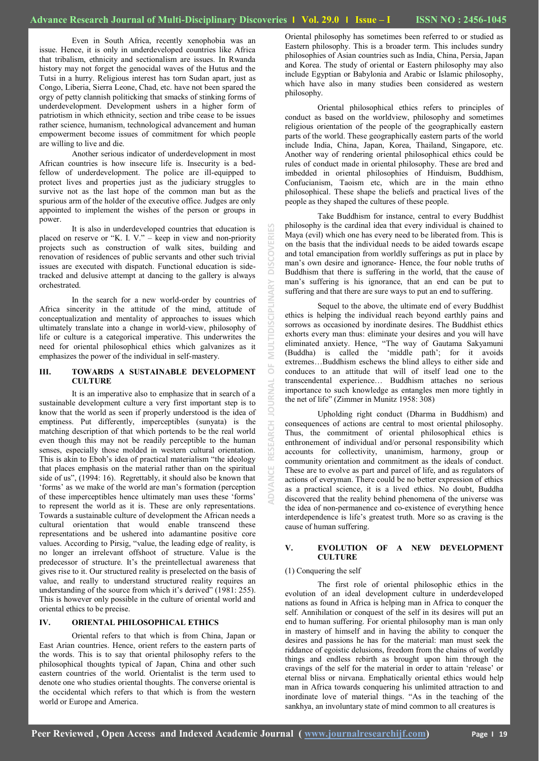Even in South Africa, recently xenophobia was an issue. Hence, it is only in underdeveloped countries like Africa that tribalism, ethnicity and sectionalism are issues. In Rwanda history may not forget the genocidal waves of the Hutus and the Tutsi in a hurry. Religious interest has torn Sudan apart, just as Congo, Liberia, Sierra Leone, Chad, etc. have not been spared the orgy of petty clannish politicking that smacks of stinking forms of underdevelopment. Development ushers in a higher form of patriotism in which ethnicity, section and tribe cease to be issues rather science, humanism, technological advancement and human empowerment become issues of commitment for which people are willing to live and die.

Another serious indicator of underdevelopment in most African countries is how insecure life is. Insecurity is a bedfellow of underdevelopment. The police are ill-equipped to protect lives and properties just as the judiciary struggles to survive not as the last hope of the common man but as the spurious arm of the holder of the executive office. Judges are only appointed to implement the wishes of the person or groups in power.

It is also in underdeveloped countries that education is placed on reserve or "K. I. V." – keep in view and non-priority projects such as construction of walk sites, building and renovation of residences of public servants and other such trivial issues are executed with dispatch. Functional education is sidetracked and delusive attempt at dancing to the gallery is always orchestrated.

In the search for a new world-order by countries of Africa sincerity in the attitude of the mind, attitude of conceptualization and mentality of approaches to issues which ultimately translate into a change in world-view, philosophy of life or culture is a categorical imperative. This underwrites the need for oriental philosophical ethics which galvanizes as it emphasizes the power of the individual in self-mastery.

### **III. TOWARDS A SUSTAINABLE DEVELOPMENT CULTURE**

It is an imperative also to emphasize that in search of a sustainable development culture a very first important step is to know that the world as seen if properly understood is the idea of emptiness. Put differently, imperceptibles (sunyata) is the matching description of that which portends to be the real world even though this may not be readily perceptible to the human senses, especially those molded in western cultural orientation. This is akin to Eboh"s idea of practical materialism "the ideology that places emphasis on the material rather than on the spiritual side of us", (1994: 16). Regrettably, it should also be known that "forms" as we make of the world are man"s formation (perception of these imperceptibles hence ultimately man uses these "forms" to represent the world as it is. These are only representations. Towards a sustainable culture of development the African needs a cultural orientation that would enable transcend these representations and be ushered into adamantine positive core values. According to Pirsig, "value, the leading edge of reality, is no longer an irrelevant offshoot of structure. Value is the predecessor of structure. It's the preintellectual awareness that gives rise to it. Our structured reality is preselected on the basis of value, and really to understand structured reality requires an understanding of the source from which it's derived" (1981: 255). This is however only possible in the culture of oriental world and oriental ethics to be precise.

### **IV. ORIENTAL PHILOSOPHICAL ETHICS**

Oriental refers to that which is from China, Japan or East Arian countries. Hence, orient refers to the eastern parts of the words. This is to say that oriental philosophy refers to the philosophical thoughts typical of Japan, China and other such eastern countries of the world. Orientalist is the term used to denote one who studies oriental thoughts. The converse oriental is the occidental which refers to that which is from the western world or Europe and America.

Oriental philosophy has sometimes been referred to or studied as Eastern philosophy. This is a broader term. This includes sundry philosophies of Asian countries such as India, China, Persia, Japan and Korea. The study of oriental or Eastern philosophy may also include Egyptian or Babylonia and Arabic or Islamic philosophy, which have also in many studies been considered as western philosophy.

Oriental philosophical ethics refers to principles of conduct as based on the worldview, philosophy and sometimes religious orientation of the people of the geographically eastern parts of the world. These geographically eastern parts of the world include India, China, Japan, Korea, Thailand, Singapore, etc. Another way of rendering oriental philosophical ethics could be rules of conduct made in oriental philosophy. These are bred and imbedded in oriental philosophies of Hinduism, Buddhism, Confucianism, Taoism etc, which are in the main ethno philosophical. These shape the beliefs and practical lives of the people as they shaped the cultures of these people.

Take Buddhism for instance, central to every Buddhist philosophy is the cardinal idea that every individual is chained to Maya (evil) which one has every need to be liberated from. This is on the basis that the individual needs to be aided towards escape and total emancipation from worldly sufferings as put in place by man"s own desire and ignorance- Hence, the four noble truths of Buddhism that there is suffering in the world, that the cause of man"s suffering is his ignorance, that an end can be put to suffering and that there are sure ways to put an end to suffering.

Sequel to the above, the ultimate end of every Buddhist ethics is helping the individual reach beyond earthly pains and sorrows as occasioned by inordinate desires. The Buddhist ethics exhorts every man thus: eliminate your desires and you will have eliminated anxiety. Hence, "The way of Gautama Sakyamuni (Buddha) is called the "middle path"; for it avoids extremes…Buddhism eschews the blind alleys to either side and conduces to an attitude that will of itself lead one to the transcendental experience… Buddhism attaches no serious importance to such knowledge as entangles men more tightly in the net of life" (Zimmer in Munitz 1958: 308)

Upholding right conduct (Dharma in Buddhism) and consequences of actions are central to most oriental philosophy. Thus, the commitment of oriental philosophical ethics is enthronement of individual and/or personal responsibility which accounts for collectivity, unanimism, harmony, group or community orientation and commitment as the ideals of conduct. These are to evolve as part and parcel of life, and as regulators of actions of everyman. There could be no better expression of ethics as a practical science, it is a lived ethics. No doubt, Buddha discovered that the reality behind phenomena of the universe was the idea of non-permanence and co-existence of everything hence interdependence is life"s greatest truth. More so as craving is the cause of human suffering.

### **V. EVOLUTION OF A NEW DEVELOPMENT CULTURE**

### (1) Conquering the self

**ADVANCE RESEARCH JOURNAL OF MULTIDISCIPLINARY DISCOVERIES**

ö

ē

**MULTID** 

 $\overline{\overline{\mathsf{P}}}$ 

The first role of oriental philosophic ethics in the evolution of an ideal development culture in underdeveloped nations as found in Africa is helping man in Africa to conquer the self. Annihilation or conquest of the self in its desires will put an end to human suffering. For oriental philosophy man is man only in mastery of himself and in having the ability to conquer the desires and passions he has for the material: man must seek the riddance of egoistic delusions, freedom from the chains of worldly things and endless rebirth as brought upon him through the cravings of the self for the material in order to attain "release" or eternal bliss or nirvana. Emphatically oriental ethics would help man in Africa towards conquering his unlimited attraction to and inordinate love of material things. "As in the teaching of the sankhya, an involuntary state of mind common to all creatures is